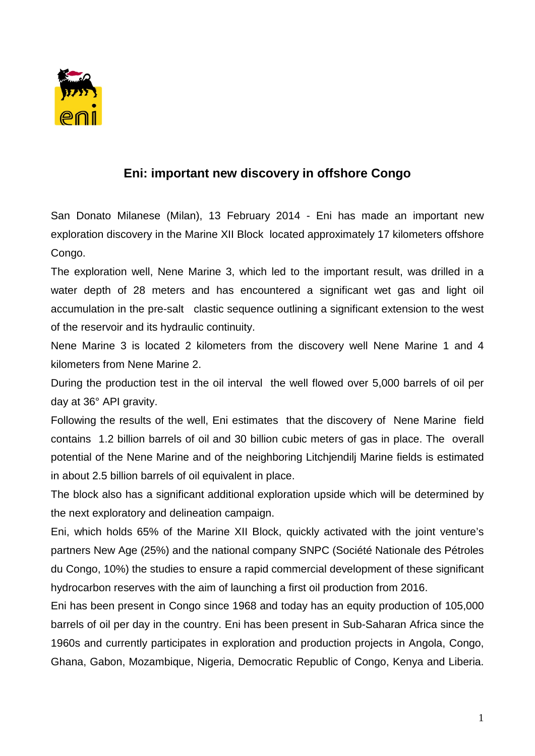

## **Eni: important new discovery in offshore Congo**

San Donato Milanese (Milan), 13 February 2014 - Eni has made an important new exploration discovery in the Marine XII Block located approximately 17 kilometers offshore Congo.

The exploration well, Nene Marine 3, which led to the important result, was drilled in a water depth of 28 meters and has encountered a significant wet gas and light oil accumulation in the pre-salt clastic sequence outlining a significant extension to the west of the reservoir and its hydraulic continuity.

Nene Marine 3 is located 2 kilometers from the discovery well Nene Marine 1 and 4 kilometers from Nene Marine 2.

During the production test in the oil interval the well flowed over 5,000 barrels of oil per day at 36° API gravity.

Following the results of the well, Eni estimates that the discovery of Nene Marine field contains 1.2 billion barrels of oil and 30 billion cubic meters of gas in place. The overall potential of the Nene Marine and of the neighboring Litchjendilj Marine fields is estimated in about 2.5 billion barrels of oil equivalent in place.

The block also has a significant additional exploration upside which will be determined by the next exploratory and delineation campaign.

Eni, which holds 65% of the Marine XII Block, quickly activated with the joint venture's partners New Age (25%) and the national company SNPC (Société Nationale des Pétroles du Congo, 10%) the studies to ensure a rapid commercial development of these significant hydrocarbon reserves with the aim of launching a first oil production from 2016.

Eni has been present in Congo since 1968 and today has an equity production of 105,000 barrels of oil per day in the country. Eni has been present in Sub-Saharan Africa since the 1960s and currently participates in exploration and production projects in Angola, Congo, Ghana, Gabon, Mozambique, Nigeria, Democratic Republic of Congo, Kenya and Liberia.